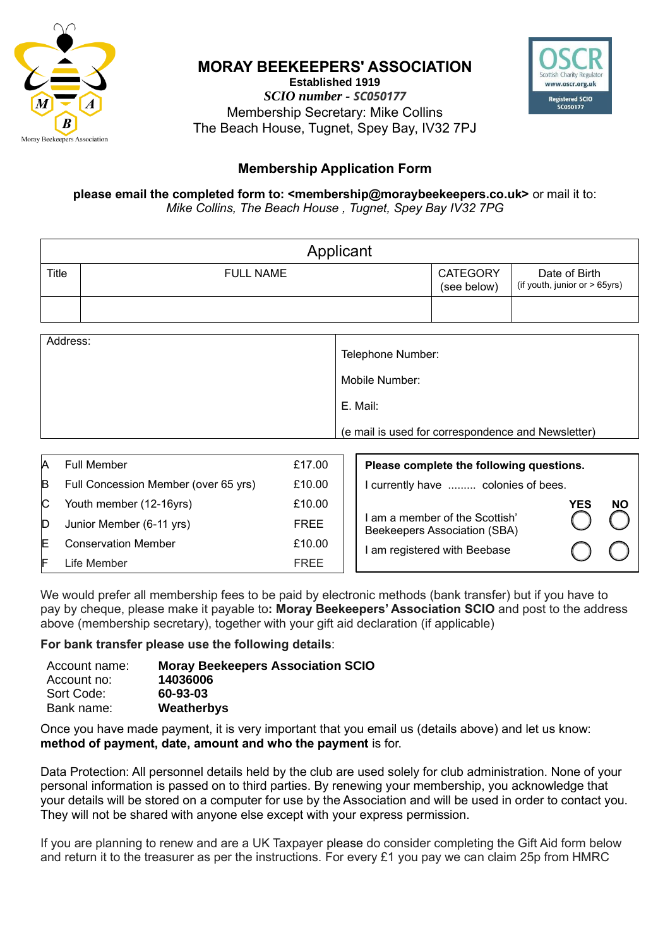

### **MORAY BEEKEEPERS' ASSOCIATION**

**Established 1919** *SCIO number - SC050177* Membership Secretary: Mike Collins The Beach House, Tugnet, Spey Bay, IV32 7PJ



## **Membership Application Form**

#### **please email the completed form to: <membership@moraybeekeepers.co.uk>** or mail it to: *Mike Collins, The Beach House , Tugnet, Spey Bay IV32 7PG*

|          | Applicant        |                                |                                                |
|----------|------------------|--------------------------------|------------------------------------------------|
| Title    | <b>FULL NAME</b> | <b>CATEGORY</b><br>(see below) | Date of Birth<br>(if youth, junior or > 65yrs) |
|          |                  |                                |                                                |
| Address: | Tolophono Numbor |                                |                                                |

| Address: | Telephone Number:                                  |
|----------|----------------------------------------------------|
|          | Mobile Number:                                     |
|          | E. Mail:                                           |
|          | (e mail is used for correspondence and Newsletter) |
|          |                                                    |

| Α   | Full Member                          | £17.00      | Please complete the following questions.                       |  |  |
|-----|--------------------------------------|-------------|----------------------------------------------------------------|--|--|
| B   | Full Concession Member (over 65 yrs) | £10.00      | I currently have  colonies of bees.                            |  |  |
| IC. | Youth member (12-16yrs)              | £10.00      | <b>NO</b><br>YES                                               |  |  |
| D   | Junior Member (6-11 yrs)             | <b>FREE</b> | I am a member of the Scottish'<br>Beekeepers Association (SBA) |  |  |
| ΙE  | <b>Conservation Member</b>           | £10.00      | I am registered with Beebase                                   |  |  |
| IF  | Life Member                          | <b>FREE</b> |                                                                |  |  |

We would prefer all membership fees to be paid by electronic methods (bank transfer) but if you have to pay by cheque, please make it payable to**: Moray Beekeepers' Association SCIO** and post to the address above (membership secretary), together with your gift aid declaration (if applicable)

#### **For bank transfer please use the following details**:

| Account name:<br>Account no: | <b>Moray Beekeepers Association SCIO</b><br>14036006 |
|------------------------------|------------------------------------------------------|
| Sort Code:                   | 60-93-03                                             |
| Bank name:                   | Weatherbys                                           |

Once you have made payment, it is very important that you email us (details above) and let us know: **method of payment, date, amount and who the payment** is for.

Data Protection: All personnel details held by the club are used solely for club administration. None of your personal information is passed on to third parties. By renewing your membership, you acknowledge that your details will be stored on a computer for use by the Association and will be used in order to contact you. They will not be shared with anyone else except with your express permission.

If you are planning to renew and are a UK Taxpayer please do consider completing the Gift Aid form below and return it to the treasurer as per the instructions. For every £1 you pay we can claim 25p from HMRC